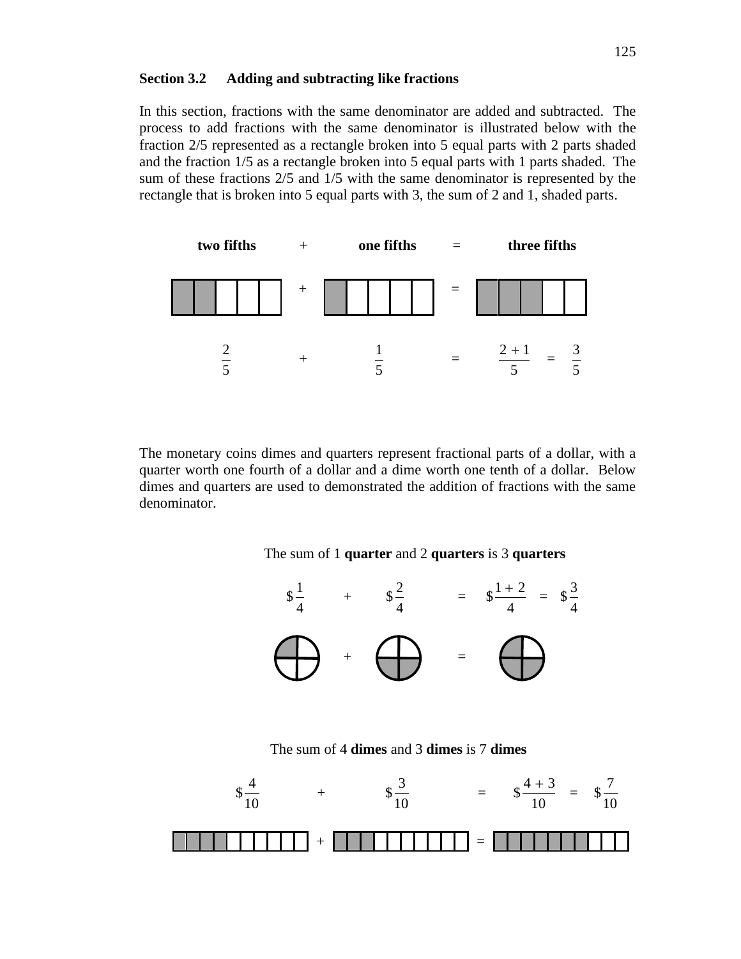### **Section 3.2 Adding and subtracting like fractions**

In this section, fractions with the same denominator are added and subtracted. The process to add fractions with the same denominator is illustrated below with the fraction 2/5 represented as a rectangle broken into 5 equal parts with 2 parts shaded and the fraction 1/5 as a rectangle broken into 5 equal parts with 1 parts shaded. The sum of these fractions 2/5 and 1/5 with the same denominator is represented by the rectangle that is broken into 5 equal parts with 3, the sum of 2 and 1, shaded parts.



The monetary coins dimes and quarters represent fractional parts of a dollar, with a quarter worth one fourth of a dollar and a dime worth one tenth of a dollar. Below dimes and quarters are used to demonstrated the addition of fractions with the same denominator.





The sum of 4 **dimes** and 3 **dimes** is 7 **dimes**

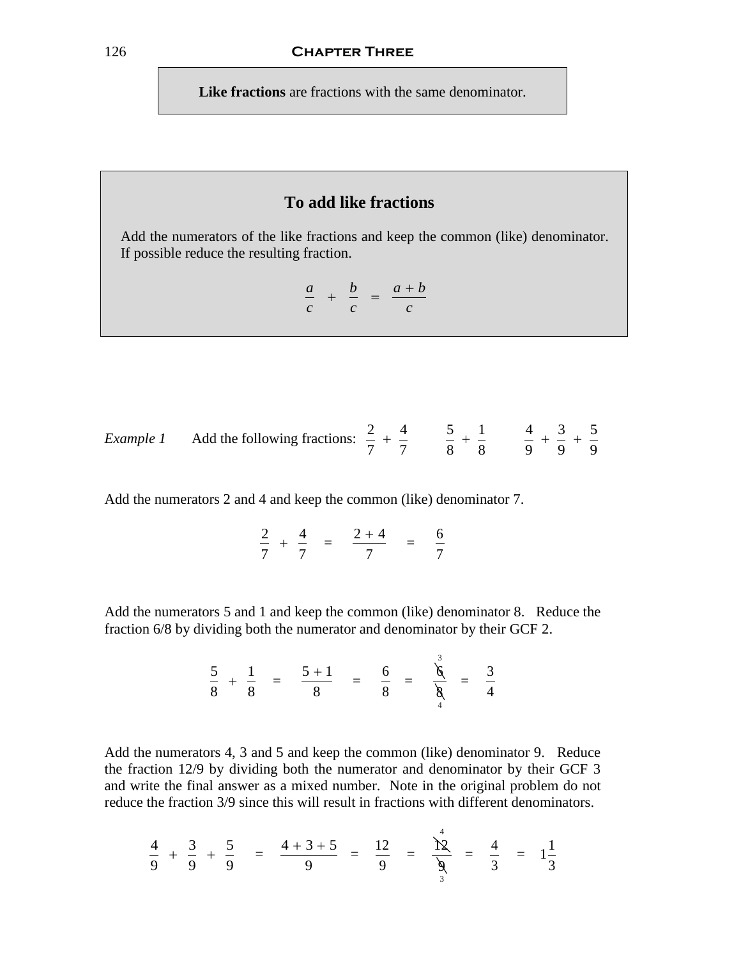**Like fractions** are fractions with the same denominator.

## **To add like fractions**

Add the numerators of the like fractions and keep the common (like) denominator. If possible reduce the resulting fraction.

$$
\frac{a}{c} + \frac{b}{c} = \frac{a+b}{c}
$$

Example 1 Add the following fractions: 
$$
\frac{2}{7} + \frac{4}{7}
$$
  $\frac{5}{8} + \frac{1}{8}$   $\frac{4}{9} + \frac{3}{9} + \frac{5}{9}$ 

Add the numerators 2 and 4 and keep the common (like) denominator 7.

$$
\frac{2}{7} + \frac{4}{7} = \frac{2+4}{7} = \frac{6}{7}
$$

Add the numerators 5 and 1 and keep the common (like) denominator 8. Reduce the fraction 6/8 by dividing both the numerator and denominator by their GCF 2.

3

$$
\frac{5}{8} + \frac{1}{8} = \frac{5+1}{8} = \frac{6}{8} = \frac{\overset{\circ}{\mathsf{X}}}{\underset{4}{\mathsf{X}}} = \frac{3}{4}
$$

Add the numerators 4, 3 and 5 and keep the common (like) denominator 9. Reduce the fraction 12/9 by dividing both the numerator and denominator by their GCF 3 and write the final answer as a mixed number. Note in the original problem do not reduce the fraction 3/9 since this will result in fractions with different denominators.

$$
\frac{4}{9} + \frac{3}{9} + \frac{5}{9} = \frac{4+3+5}{9} = \frac{12}{9} = \frac{12}{9} = \frac{4}{9} = \frac{4}{3}
$$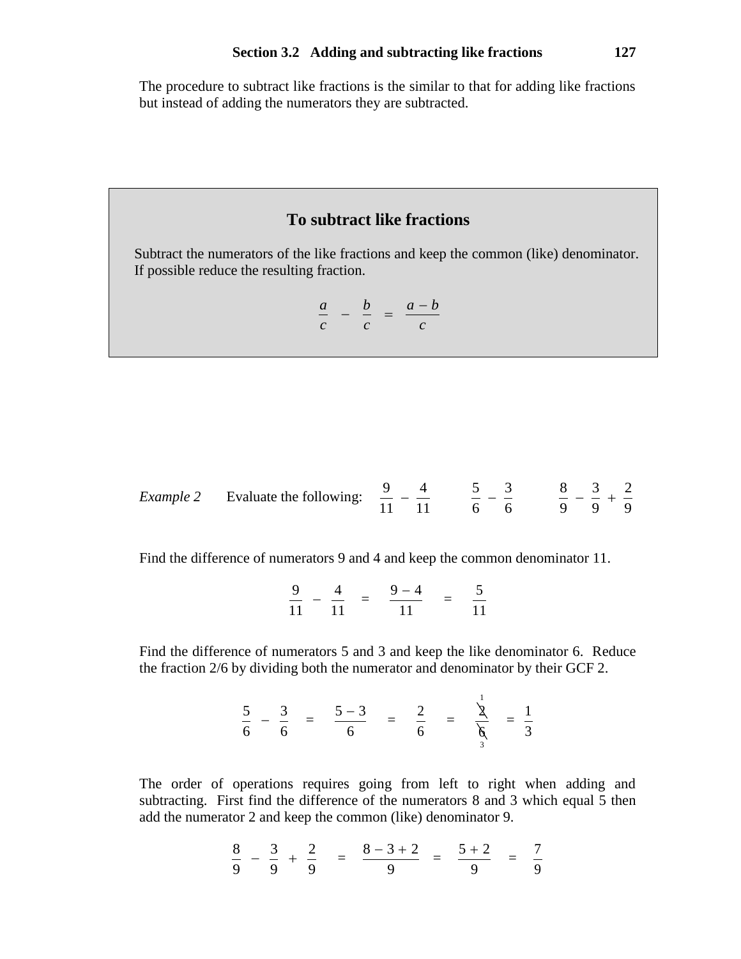The procedure to subtract like fractions is the similar to that for adding like fractions but instead of adding the numerators they are subtracted.

## **To subtract like fractions**

Subtract the numerators of the like fractions and keep the common (like) denominator. If possible reduce the resulting fraction.

$$
\frac{a}{c} - \frac{b}{c} = \frac{a-b}{c}
$$

Example 2 Evaluate the following: 
$$
\frac{9}{11} - \frac{4}{11}
$$
  $\frac{5}{6} - \frac{3}{6}$   $\frac{8}{9} - \frac{3}{9} + \frac{2}{9}$ 

Find the difference of numerators 9 and 4 and keep the common denominator 11.

$$
\frac{9}{11} - \frac{4}{11} = \frac{9-4}{11} = \frac{5}{11}
$$

Find the difference of numerators 5 and 3 and keep the like denominator 6. Reduce the fraction 2/6 by dividing both the numerator and denominator by their GCF 2.

$$
\frac{5}{6} - \frac{3}{6} = \frac{5-3}{6} = \frac{2}{6} = \frac{1}{6} = \frac{1}{3}
$$

The order of operations requires going from left to right when adding and subtracting. First find the difference of the numerators 8 and 3 which equal 5 then add the numerator 2 and keep the common (like) denominator 9.

$$
\frac{8}{9} - \frac{3}{9} + \frac{2}{9} = \frac{8 - 3 + 2}{9} = \frac{5 + 2}{9} = \frac{7}{9}
$$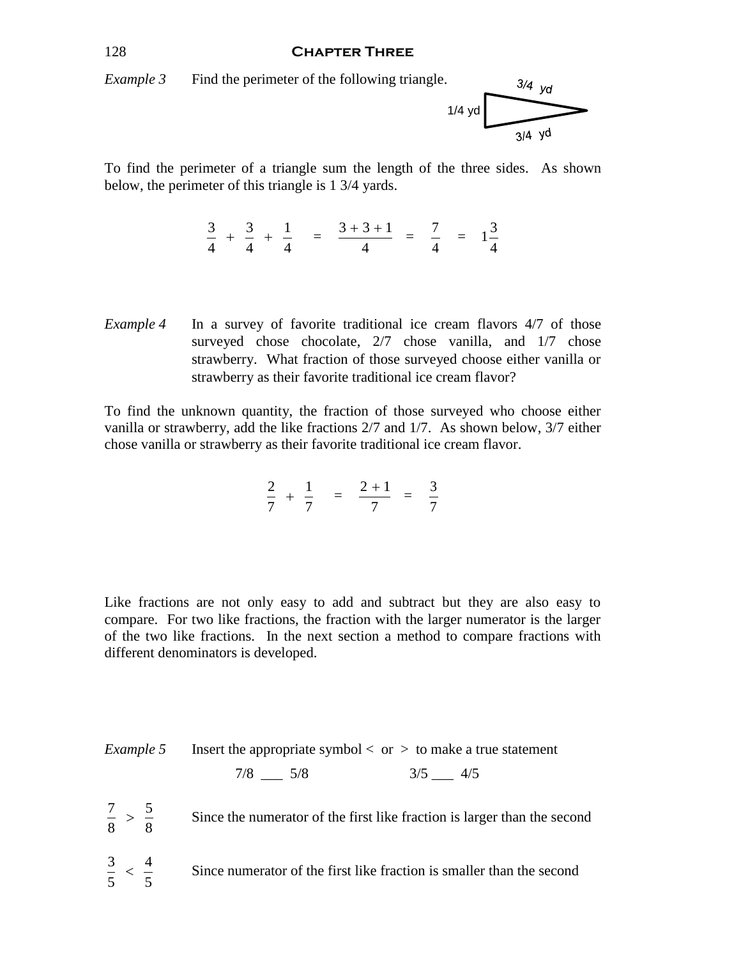#### 128 **Chapter Three**



To find the perimeter of a triangle sum the length of the three sides. As shown below, the perimeter of this triangle is 1 3/4 yards.

$$
\frac{3}{4} + \frac{3}{4} + \frac{1}{4} = \frac{3+3+1}{4} = \frac{7}{4} = 1\frac{3}{4}
$$

*Example 4* In a survey of favorite traditional ice cream flavors 4/7 of those surveyed chose chocolate,  $2/7$  chose vanilla, and  $1/7$  chose strawberry. What fraction of those surveyed choose either vanilla or strawberry as their favorite traditional ice cream flavor?

To find the unknown quantity, the fraction of those surveyed who choose either vanilla or strawberry, add the like fractions 2/7 and 1/7. As shown below, 3/7 either chose vanilla or strawberry as their favorite traditional ice cream flavor.

$$
\frac{2}{7} + \frac{1}{7} = \frac{2+1}{7} = \frac{3}{7}
$$

Like fractions are not only easy to add and subtract but they are also easy to compare. For two like fractions, the fraction with the larger numerator is the larger of the two like fractions. In the next section a method to compare fractions with different denominators is developed.

*Example 5* Insert the appropriate symbol  $<$  or  $>$  to make a true statement  $7/8$   $5/8$   $3/5$   $4/5$ 7 5 8 8  $>$ Since the numerator of the first like fraction is larger than the second 3 4 5 5  $\lt$ Since numerator of the first like fraction is smaller than the second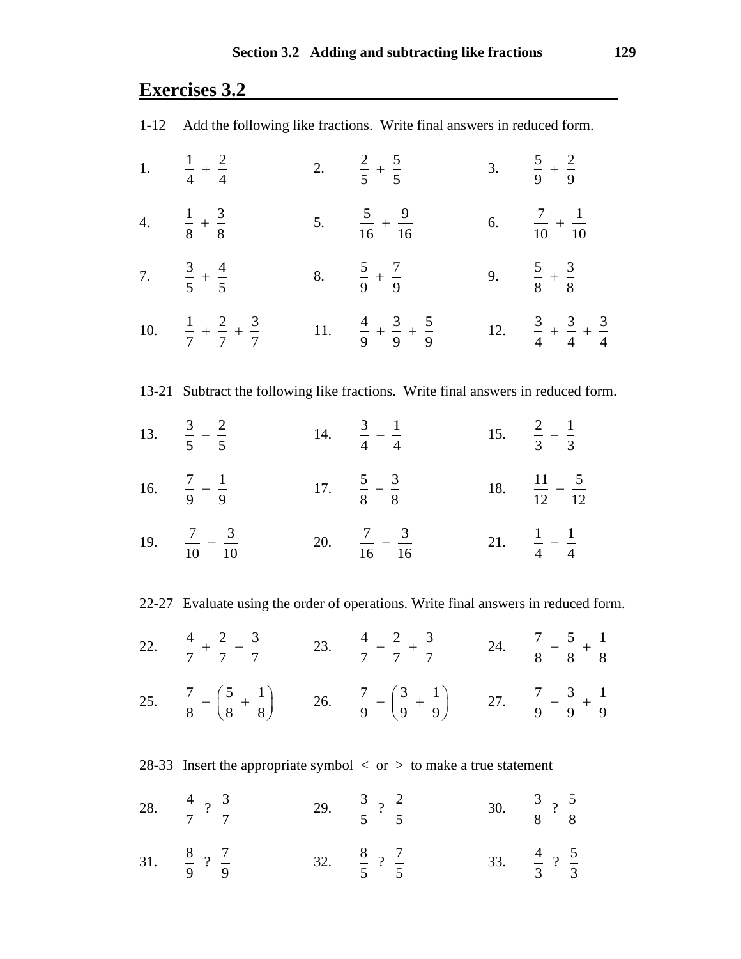# **Exercises 3.2**

| 1-12 Add the following like fractions. Write final answers in reduced form.        |  |                                                                                                                                           |  |                                             |
|------------------------------------------------------------------------------------|--|-------------------------------------------------------------------------------------------------------------------------------------------|--|---------------------------------------------|
| 1. $\frac{1}{4} + \frac{2}{4}$                                                     |  | 2. $\frac{2}{5} + \frac{5}{5}$                                                                                                            |  | 3. $rac{5}{9} + \frac{2}{9}$                |
| 4. $\frac{1}{8} + \frac{3}{8}$                                                     |  | 5. $\frac{5}{16} + \frac{9}{16}$                                                                                                          |  | 6. $\frac{7}{10} + \frac{1}{10}$            |
| 7. $\frac{3}{5} + \frac{4}{5}$                                                     |  | 8. $\frac{5}{9} + \frac{7}{9}$                                                                                                            |  | 9. $\frac{5}{8} + \frac{3}{8}$              |
| 10. $\frac{1}{7} + \frac{2}{7} + \frac{3}{7}$                                      |  | 11. $\frac{4}{9} + \frac{3}{9} + \frac{5}{9}$                                                                                             |  | 12. $rac{3}{4} + \frac{3}{4} + \frac{3}{4}$ |
| 13-21 Subtract the following like fractions. Write final answers in reduced form.  |  |                                                                                                                                           |  |                                             |
| 13. $rac{3}{5} - \frac{2}{5}$                                                      |  | 14. $\frac{3}{4} - \frac{1}{4}$                                                                                                           |  | 15. $\frac{2}{3} - \frac{1}{3}$             |
| 16. $\frac{7}{9} - \frac{1}{9}$                                                    |  | 17. $\frac{5}{8} - \frac{3}{8}$                                                                                                           |  | 18. $\frac{11}{12} - \frac{5}{12}$          |
| 19. $\frac{7}{10} - \frac{3}{10}$                                                  |  | 20. $\frac{7}{16} - \frac{3}{16}$                                                                                                         |  | 21. $\frac{1}{4} - \frac{1}{4}$             |
| 22-27 Evaluate using the order of operations. Write final answers in reduced form. |  |                                                                                                                                           |  |                                             |
|                                                                                    |  | 22. $\frac{4}{7} + \frac{2}{7} - \frac{3}{7}$ 23. $\frac{4}{7} - \frac{2}{7} + \frac{3}{7}$ 24. $\frac{7}{8} - \frac{5}{8} + \frac{1}{8}$ |  |                                             |

25.  $\frac{7}{2} - \left(\frac{5}{2} + \frac{1}{2}\right)$ 8 (8 8  $-\left(\frac{5}{8} + \frac{1}{8}\right)$  26.  $\frac{7}{9} - \left(\frac{3}{9} + \frac{1}{9}\right)$ 9 9  $-\left(\frac{3}{9}+\frac{1}{9}\right)$  27.  $\frac{7}{9}-\frac{3}{9}+\frac{1}{9}$ 999  $-\frac{3}{6}$  +

28-33 Insert the appropriate symbol  $\langle$  or  $\rangle$  to make a true statement

- 28.  $\frac{4}{7}$  ?  $\frac{3}{7}$ 7 7 29.  $\frac{3}{7}$  ?  $\frac{2}{7}$ 5 5 30.  $\frac{3}{2}$  ?  $\frac{5}{3}$ 8 8
- 31.  $\frac{8}{9}$  ?  $\frac{7}{9}$ 9 9 32.  $\frac{8}{7}$  ?  $\frac{7}{7}$ 5 5 33.  $\frac{4}{3}$  ?  $\frac{5}{3}$ 3 3